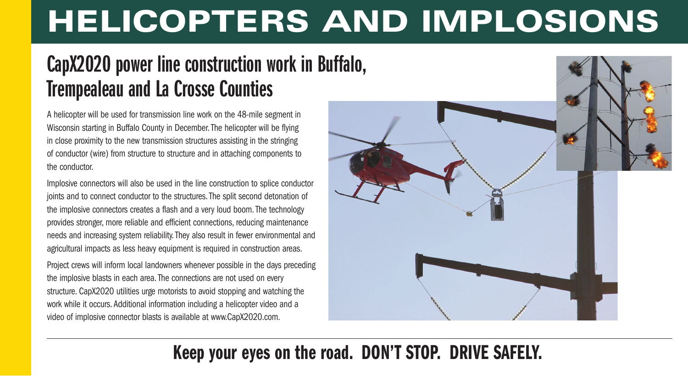# **HELICOPTERS AND IMPLOSIONS**

## **CapX2020 power line construction work in Buffalo, Trempealeau and La Crosse Counties**

A helicopter will be used for transmission line work on the 48-mile segment in Wisconsin starting in Buffalo County in December. The helicopter will be flying in close proximity to the new transmission structures assisting in the stringing of conductor (wire) from structure to structure and in attaching components to the conductor.

Implosive connectors will also be used in the line construction to splice conductor joints and to connect conductor to the structures. The split second detonation of the implosive connectors creates a flash and a very loud boom. The technology provides stronger, more reliable and efficient connections, reducing maintenance needs and increasing system reliability. They also result in fewer environmental and agricultural impacts as less heavy equipment is required in construction areas.

Project crews will inform local landowners whenever possible in the days preceding the implosive blasts in each area. The connections are not used on every structure. CapX2020 utilities urge motorists to avoid stopping and watching the work while it occurs. Additional information including a helicopter video and a video of implosive connector blasts is available at www.CapX2020.com.



## **Keep your eyes on the road. DON'T STOP. DRIVE SAFELY.**